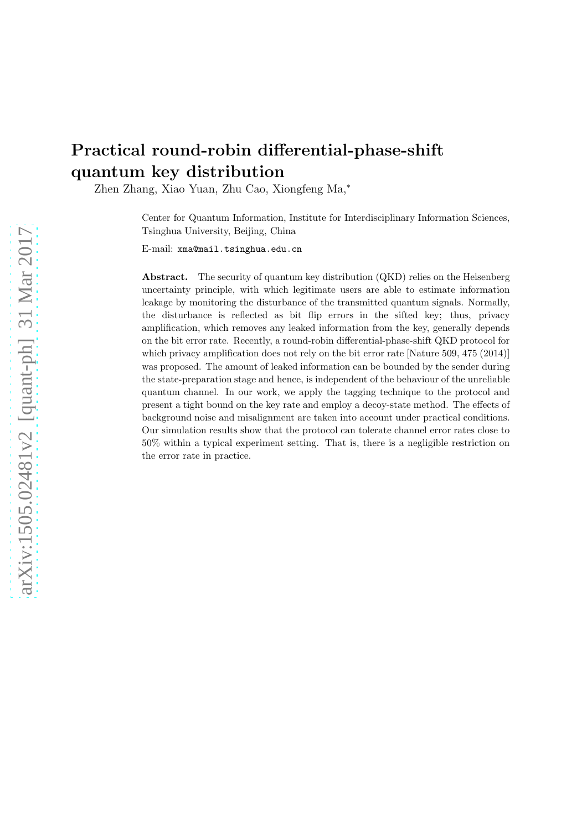# Practical round-robin differential-phase-shift quantum key distribution

Zhen Zhang, Xiao Yuan, Zhu Cao, Xiongfeng Ma,<sup>∗</sup>

Center for Quantum Information, Institute for Interdisciplinary Information Sciences, Tsinghua University, Beijing, China

E-mail: xma@mail.tsinghua.edu.cn

Abstract. The security of quantum key distribution (QKD) relies on the Heisenberg uncertainty principle, with which legitimate users are able to estimate information leakage by monitoring the disturbance of the transmitted quantum signals. Normally, the disturbance is reflected as bit flip errors in the sifted key; thus, privacy amplification, which removes any leaked information from the key, generally depends on the bit error rate. Recently, a round-robin differential-phase-shift QKD protocol for which privacy amplification does not rely on the bit error rate [Nature 509, 475 (2014)] was proposed. The amount of leaked information can be bounded by the sender during the state-preparation stage and hence, is independent of the behaviour of the unreliable quantum channel. In our work, we apply the tagging technique to the protocol and present a tight bound on the key rate and employ a decoy-state method. The effects of background noise and misalignment are taken into account under practical conditions. Our simulation results show that the protocol can tolerate channel error rates close to 50% within a typical experiment setting. That is, there is a negligible restriction on the error rate in practice.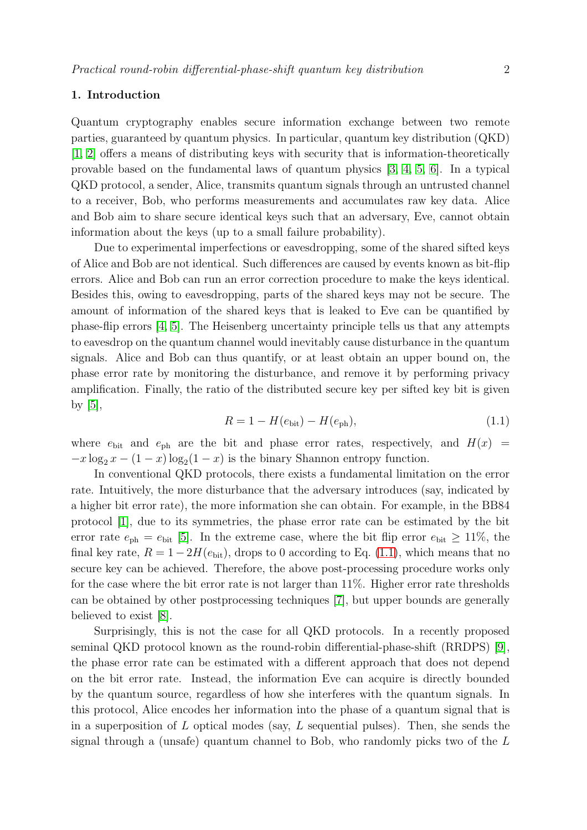# 1. Introduction

Quantum cryptography enables secure information exchange between two remote parties, guaranteed by quantum physics. In particular, quantum key distribution (QKD) [\[1,](#page-16-0) [2\]](#page-16-1) offers a means of distributing keys with security that is information-theoretically provable based on the fundamental laws of quantum physics [\[3,](#page-16-2) [4,](#page-16-3) [5,](#page-16-4) [6\]](#page-16-5). In a typical QKD protocol, a sender, Alice, transmits quantum signals through an untrusted channel to a receiver, Bob, who performs measurements and accumulates raw key data. Alice and Bob aim to share secure identical keys such that an adversary, Eve, cannot obtain information about the keys (up to a small failure probability).

Due to experimental imperfections or eavesdropping, some of the shared sifted keys of Alice and Bob are not identical. Such differences are caused by events known as bit-flip errors. Alice and Bob can run an error correction procedure to make the keys identical. Besides this, owing to eavesdropping, parts of the shared keys may not be secure. The amount of information of the shared keys that is leaked to Eve can be quantified by phase-flip errors [\[4,](#page-16-3) [5\]](#page-16-4). The Heisenberg uncertainty principle tells us that any attempts to eavesdrop on the quantum channel would inevitably cause disturbance in the quantum signals. Alice and Bob can thus quantify, or at least obtain an upper bound on, the phase error rate by monitoring the disturbance, and remove it by performing privacy amplification. Finally, the ratio of the distributed secure key per sifted key bit is given by  $[5]$ ,

$$
R = 1 - H(e_{\text{bit}}) - H(e_{\text{ph}}),
$$
\n(1.1)

<span id="page-1-0"></span>where  $e_{\text{bit}}$  and  $e_{\text{ph}}$  are the bit and phase error rates, respectively, and  $H(x)$  =  $-x \log_2 x - (1-x) \log_2(1-x)$  is the binary Shannon entropy function.

In conventional QKD protocols, there exists a fundamental limitation on the error rate. Intuitively, the more disturbance that the adversary introduces (say, indicated by a higher bit error rate), the more information she can obtain. For example, in the BB84 protocol [\[1\]](#page-16-0), due to its symmetries, the phase error rate can be estimated by the bit error rate  $e_{\text{ph}} = e_{\text{bit}}$  [\[5\]](#page-16-4). In the extreme case, where the bit flip error  $e_{\text{bit}} \ge 11\%$ , the final key rate,  $R = 1 - 2H(e_{\text{bit}})$ , drops to 0 according to Eq. [\(1.1\)](#page-1-0), which means that no secure key can be achieved. Therefore, the above post-processing procedure works only for the case where the bit error rate is not larger than 11%. Higher error rate thresholds can be obtained by other postprocessing techniques [\[7\]](#page-16-6), but upper bounds are generally believed to exist [\[8\]](#page-16-7).

Surprisingly, this is not the case for all QKD protocols. In a recently proposed seminal QKD protocol known as the round-robin differential-phase-shift (RRDPS) [\[9\]](#page-16-8), the phase error rate can be estimated with a different approach that does not depend on the bit error rate. Instead, the information Eve can acquire is directly bounded by the quantum source, regardless of how she interferes with the quantum signals. In this protocol, Alice encodes her information into the phase of a quantum signal that is in a superposition of L optical modes (say, L sequential pulses). Then, she sends the signal through a (unsafe) quantum channel to Bob, who randomly picks two of the L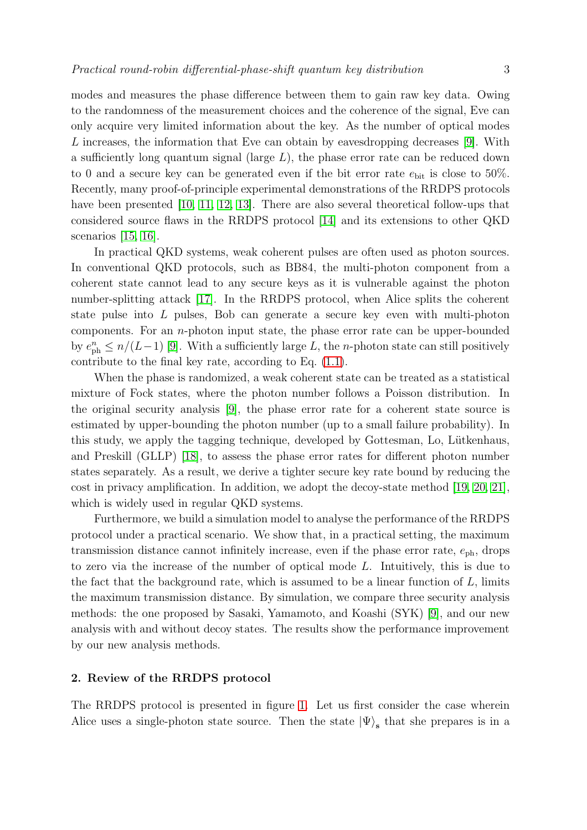modes and measures the phase difference between them to gain raw key data. Owing to the randomness of the measurement choices and the coherence of the signal, Eve can only acquire very limited information about the key. As the number of optical modes L increases, the information that Eve can obtain by eavesdropping decreases [\[9\]](#page-16-8). With a sufficiently long quantum signal (large  $L$ ), the phase error rate can be reduced down to 0 and a secure key can be generated even if the bit error rate  $e_{\text{bit}}$  is close to 50%. Recently, many proof-of-principle experimental demonstrations of the RRDPS protocols have been presented [\[10,](#page-16-9) [11,](#page-16-10) [12,](#page-16-11) [13\]](#page-16-12). There are also several theoretical follow-ups that considered source flaws in the RRDPS protocol [\[14\]](#page-16-13) and its extensions to other QKD scenarios [\[15,](#page-16-14) [16\]](#page-16-15).

In practical QKD systems, weak coherent pulses are often used as photon sources. In conventional QKD protocols, such as BB84, the multi-photon component from a coherent state cannot lead to any secure keys as it is vulnerable against the photon number-splitting attack [\[17\]](#page-17-0). In the RRDPS protocol, when Alice splits the coherent state pulse into L pulses, Bob can generate a secure key even with multi-photon components. For an  $n$ -photon input state, the phase error rate can be upper-bounded by  $e_{\text{ph}}^n \leq n/(L-1)$  [\[9\]](#page-16-8). With a sufficiently large L, the n-photon state can still positively contribute to the final key rate, according to Eq. [\(1.1\)](#page-1-0).

When the phase is randomized, a weak coherent state can be treated as a statistical mixture of Fock states, where the photon number follows a Poisson distribution. In the original security analysis [\[9\]](#page-16-8), the phase error rate for a coherent state source is estimated by upper-bounding the photon number (up to a small failure probability). In this study, we apply the tagging technique, developed by Gottesman, Lo, Lütkenhaus, and Preskill (GLLP) [\[18\]](#page-17-1), to assess the phase error rates for different photon number states separately. As a result, we derive a tighter secure key rate bound by reducing the cost in privacy amplification. In addition, we adopt the decoy-state method [\[19,](#page-17-2) [20,](#page-17-3) [21\]](#page-17-4), which is widely used in regular QKD systems.

Furthermore, we build a simulation model to analyse the performance of the RRDPS protocol under a practical scenario. We show that, in a practical setting, the maximum transmission distance cannot infinitely increase, even if the phase error rate,  $e_{\rm ph}$ , drops to zero via the increase of the number of optical mode L. Intuitively, this is due to the fact that the background rate, which is assumed to be a linear function of  $L$ , limits the maximum transmission distance. By simulation, we compare three security analysis methods: the one proposed by Sasaki, Yamamoto, and Koashi (SYK) [\[9\]](#page-16-8), and our new analysis with and without decoy states. The results show the performance improvement by our new analysis methods.

## 2. Review of the RRDPS protocol

The RRDPS protocol is presented in figure [1.](#page-3-0) Let us first consider the case wherein Alice uses a single-photon state source. Then the state  $|\Psi\rangle$ <sub>s</sub> that she prepares is in a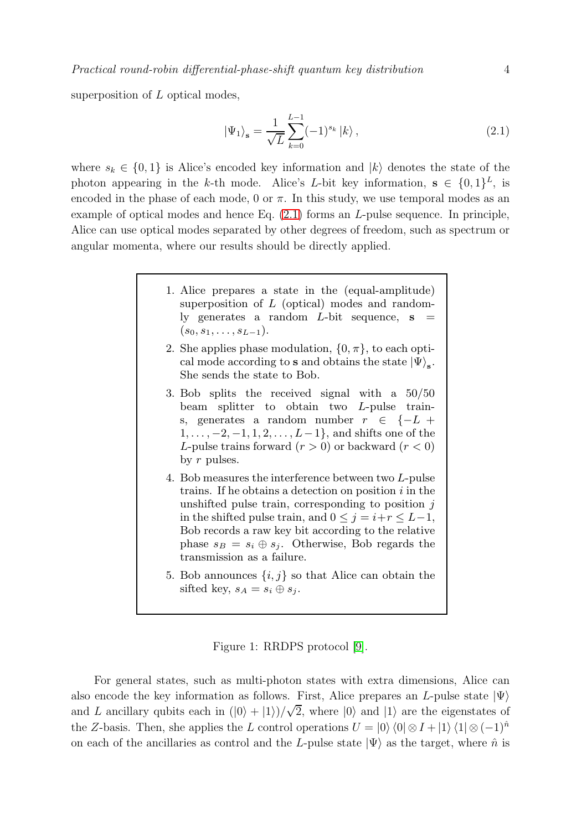superposition of  $L$  optical modes,

<span id="page-3-1"></span>
$$
\left|\Psi_{1}\right\rangle_{s} = \frac{1}{\sqrt{L}} \sum_{k=0}^{L-1} (-1)^{s_{k}} \left|k\right\rangle, \tag{2.1}
$$

<span id="page-3-0"></span>where  $s_k \in \{0,1\}$  is Alice's encoded key information and  $|k\rangle$  denotes the state of the photon appearing in the k-th mode. Alice's L-bit key information,  $s \in \{0,1\}^L$ , is encoded in the phase of each mode, 0 or  $\pi$ . In this study, we use temporal modes as an example of optical modes and hence Eq.  $(2.1)$  forms an *L*-pulse sequence. In principle, Alice can use optical modes separated by other degrees of freedom, such as spectrum or angular momenta, where our results should be directly applied.

- 1. Alice prepares a state in the (equal-amplitude) superposition of L (optical) modes and randomly generates a random  $L$ -bit sequence,  $s =$  $(s_0, s_1, \ldots, s_{L-1}).$
- 2. She applies phase modulation,  $\{0, \pi\}$ , to each optical mode according to s and obtains the state  $|\Psi\rangle_{\mathbf{s}}$ . She sends the state to Bob.
- 3. Bob splits the received signal with a 50/50 beam splitter to obtain two L-pulse trains, generates a random number  $r \in \{-L +$  $1, \ldots, -2, -1, 1, 2, \ldots, L-1$ , and shifts one of the L-pulse trains forward  $(r > 0)$  or backward  $(r < 0)$ by  $r$  pulses.
- 4. Bob measures the interference between two L-pulse trains. If he obtains a detection on position  $i$  in the unshifted pulse train, corresponding to position  $j$ in the shifted pulse train, and  $0 \leq j = i+r \leq L-1$ , Bob records a raw key bit according to the relative phase  $s_B = s_i \oplus s_j$ . Otherwise, Bob regards the transmission as a failure.
- 5. Bob announces  $\{i, j\}$  so that Alice can obtain the sifted key,  $s_A = s_i \oplus s_j$ .

Figure 1: RRDPS protocol [\[9\]](#page-16-8).

For general states, such as multi-photon states with extra dimensions, Alice can also encode the key information as follows. First, Alice prepares an L-pulse state  $|\Psi\rangle$ and L ancillary qubits each in  $(|0\rangle + |1\rangle)/\sqrt{2}$ , where  $|0\rangle$  and  $|1\rangle$  are the eigenstates of the Z-basis. Then, she applies the L control operations  $U = |0\rangle \langle 0| \otimes I + |1\rangle \langle 1| \otimes (-1)^{\hat{n}}$ on each of the ancillaries as control and the L-pulse state  $|\Psi\rangle$  as the target, where  $\hat{n}$  is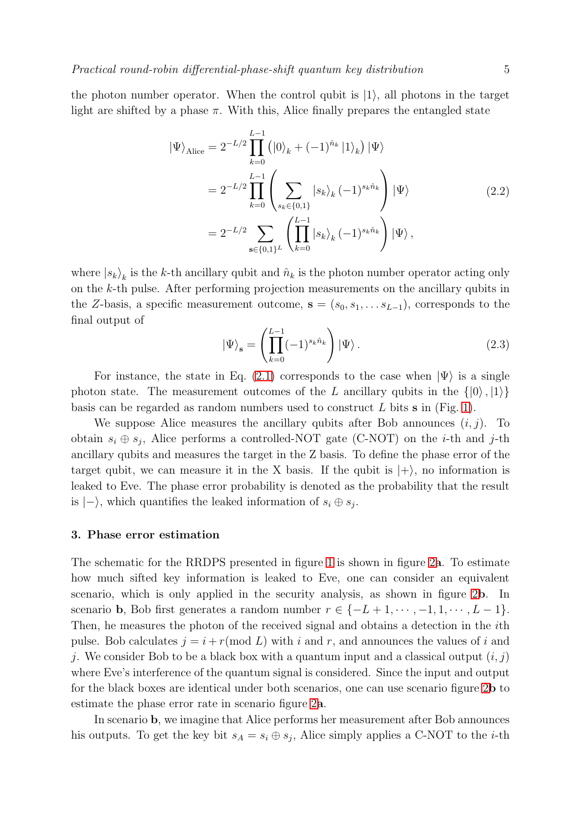the photon number operator. When the control qubit is  $|1\rangle$ , all photons in the target light are shifted by a phase  $\pi$ . With this, Alice finally prepares the entangled state

<span id="page-4-0"></span>
$$
|\Psi\rangle_{\text{Alice}} = 2^{-L/2} \prod_{k=0}^{L-1} (|0\rangle_k + (-1)^{\hat{n}_k} |1\rangle_k) |\Psi\rangle
$$
  
=  $2^{-L/2} \prod_{k=0}^{L-1} \left( \sum_{s_k \in \{0,1\}} |s_k\rangle_k (-1)^{s_k \hat{n}_k} \right) |\Psi\rangle$   
=  $2^{-L/2} \sum_{\mathbf{s} \in \{0,1\}^L} \left( \prod_{k=0}^{L-1} |s_k\rangle_k (-1)^{s_k \hat{n}_k} \right) |\Psi\rangle,$  (2.2)

where  $|s_k\rangle_k$  is the k-th ancillary qubit and  $\hat{n}_k$  is the photon number operator acting only on the k-th pulse. After performing projection measurements on the ancillary qubits in the Z-basis, a specific measurement outcome,  $s = (s_0, s_1, \ldots s_{L-1})$ , corresponds to the final output of

<span id="page-4-1"></span>
$$
|\Psi\rangle_{\mathbf{s}} = \left(\prod_{k=0}^{L-1} (-1)^{s_k \hat{n}_k}\right) |\Psi\rangle. \tag{2.3}
$$

For instance, the state in Eq. [\(2.1\)](#page-3-1) corresponds to the case when  $|\Psi\rangle$  is a single photon state. The measurement outcomes of the L ancillary qubits in the  $\{|0\rangle, |1\rangle\}$ basis can be regarded as random numbers used to construct L bits  $\bf{s}$  in (Fig. [1\)](#page-3-0).

We suppose Alice measures the ancillary qubits after Bob announces  $(i, j)$ . To obtain  $s_i \oplus s_j$ , Alice performs a controlled-NOT gate (C-NOT) on the *i*-th and *j*-th ancillary qubits and measures the target in the Z basis. To define the phase error of the target qubit, we can measure it in the X basis. If the qubit is  $|+\rangle$ , no information is leaked to Eve. The phase error probability is denoted as the probability that the result is  $|-\rangle$ , which quantifies the leaked information of  $s_i \oplus s_j$ .

# 3. Phase error estimation

The schematic for the RRDPS presented in figure [1](#page-3-0) is shown in figure [2](#page-5-0)a. To estimate how much sifted key information is leaked to Eve, one can consider an equivalent scenario, which is only applied in the security analysis, as shown in figure [2](#page-5-0)b. In scenario **b**, Bob first generates a random number  $r \in \{-L+1, \dots, -1, 1, \dots, L-1\}$ . Then, he measures the photon of the received signal and obtains a detection in the ith pulse. Bob calculates  $j = i + r \pmod{L}$  with i and r, and announces the values of i and j. We consider Bob to be a black box with a quantum input and a classical output  $(i, j)$ where Eve's interference of the quantum signal is considered. Since the input and output for the black boxes are identical under both scenarios, one can use scenario figure [2](#page-5-0)b to estimate the phase error rate in scenario figure [2](#page-5-0)a.

In scenario b, we imagine that Alice performs her measurement after Bob announces his outputs. To get the key bit  $s_A = s_i \oplus s_j$ , Alice simply applies a C-NOT to the *i*-th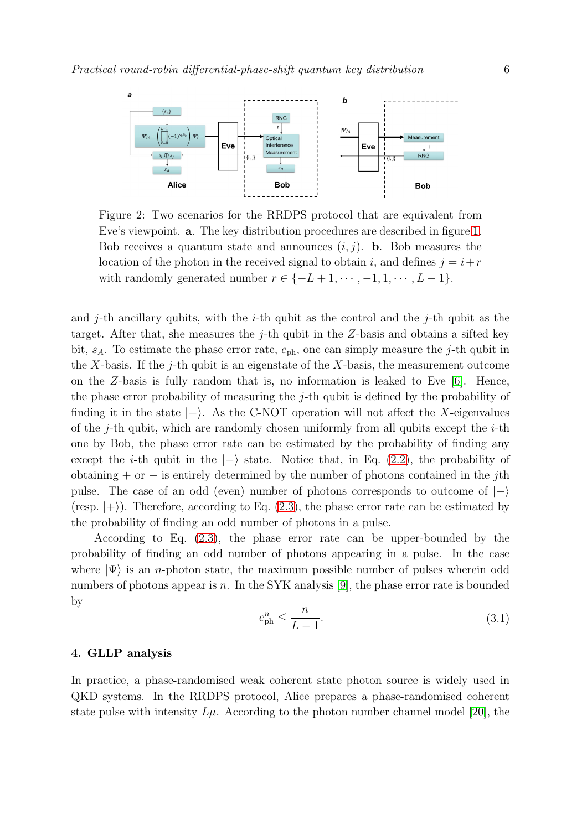<span id="page-5-0"></span>

Figure 2: Two scenarios for the RRDPS protocol that are equivalent from Eve's viewpoint. a. The key distribution procedures are described in figure [1.](#page-3-0) Bob receives a quantum state and announces  $(i, j)$ . **b**. Bob measures the location of the photon in the received signal to obtain i, and defines  $j = i+r$ with randomly generated number  $r \in \{-L+1, \dots, -1, 1, \dots, L-1\}.$ 

and j-th ancillary qubits, with the  $i$ -th qubit as the control and the j-th qubit as the target. After that, she measures the  $j$ -th qubit in the Z-basis and obtains a sifted key bit,  $s_A$ . To estimate the phase error rate,  $e_{\text{ph}}$ , one can simply measure the j-th qubit in the X-basis. If the j-th qubit is an eigenstate of the X-basis, the measurement outcome on the Z-basis is fully random that is, no information is leaked to Eve  $[6]$ . Hence, the phase error probability of measuring the j-th qubit is defined by the probability of finding it in the state  $\ket{-}$ . As the C-NOT operation will not affect the X-eigenvalues of the *j*-th qubit, which are randomly chosen uniformly from all qubits except the *i*-th one by Bob, the phase error rate can be estimated by the probability of finding any except the *i*-th qubit in the  $|-\rangle$  state. Notice that, in Eq. [\(2.2\)](#page-4-0), the probability of obtaining + or  $-$  is entirely determined by the number of photons contained in the *j*th pulse. The case of an odd (even) number of photons corresponds to outcome of  $|-\rangle$ (resp.  $|+\rangle$ ). Therefore, according to Eq. [\(2.3\)](#page-4-1), the phase error rate can be estimated by the probability of finding an odd number of photons in a pulse.

According to Eq. [\(2.3\)](#page-4-1), the phase error rate can be upper-bounded by the probability of finding an odd number of photons appearing in a pulse. In the case where  $|\Psi\rangle$  is an *n*-photon state, the maximum possible number of pulses wherein odd numbers of photons appear is n. In the SYK analysis [\[9\]](#page-16-8), the phase error rate is bounded by

$$
e_{\rm ph}^n \le \frac{n}{L-1}.\tag{3.1}
$$

# <span id="page-5-1"></span>4. GLLP analysis

In practice, a phase-randomised weak coherent state photon source is widely used in QKD systems. In the RRDPS protocol, Alice prepares a phase-randomised coherent state pulse with intensity  $L\mu$ . According to the photon number channel model [\[20\]](#page-17-3), the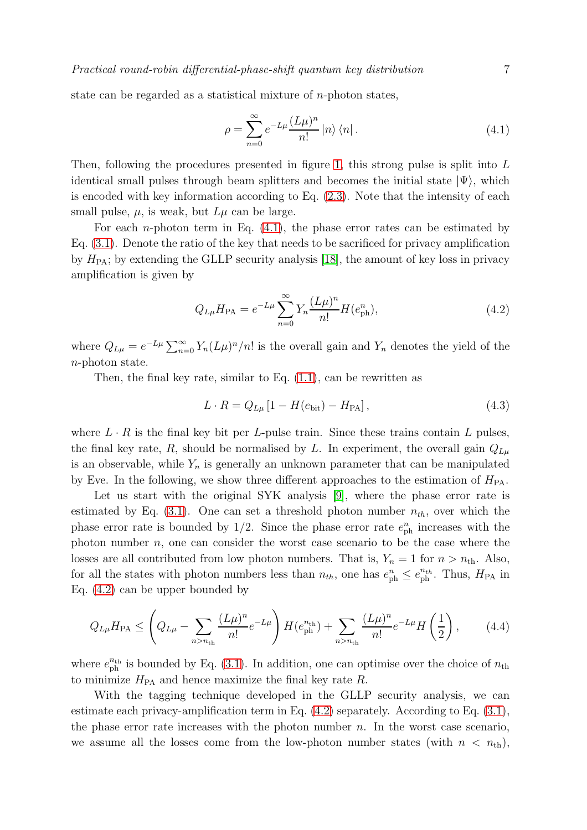state can be regarded as a statistical mixture of n-photon states,

<span id="page-6-0"></span>
$$
\rho = \sum_{n=0}^{\infty} e^{-L\mu} \frac{(L\mu)^n}{n!} |n\rangle \langle n|.
$$
\n(4.1)

Then, following the procedures presented in figure [1,](#page-3-0) this strong pulse is split into  $L$ identical small pulses through beam splitters and becomes the initial state  $|\Psi\rangle$ , which is encoded with key information according to Eq. [\(2.3\)](#page-4-1). Note that the intensity of each small pulse,  $\mu$ , is weak, but  $L\mu$  can be large.

For each *n*-photon term in Eq.  $(4.1)$ , the phase error rates can be estimated by Eq. [\(3.1\)](#page-5-1). Denote the ratio of the key that needs to be sacrificed for privacy amplification by  $H_{\text{PA}}$ ; by extending the GLLP security analysis [\[18\]](#page-17-1), the amount of key loss in privacy amplification is given by

<span id="page-6-1"></span>
$$
Q_{L\mu}H_{\rm PA} = e^{-L\mu} \sum_{n=0}^{\infty} Y_n \frac{(L\mu)^n}{n!} H(e_{\rm ph}^n),\tag{4.2}
$$

where  $Q_{L\mu} = e^{-L\mu} \sum_{n=0}^{\infty} Y_n (L\mu)^n/n!$  is the overall gain and  $Y_n$  denotes the yield of the n-photon state.

Then, the final key rate, similar to Eq.  $(1.1)$ , can be rewritten as

<span id="page-6-2"></span>
$$
L \cdot R = Q_{L\mu} \left[ 1 - H(e_{\text{bit}}) - H_{\text{PA}} \right],
$$
\n(4.3)

where  $L \cdot R$  is the final key bit per L-pulse train. Since these trains contain L pulses, the final key rate, R, should be normalised by L. In experiment, the overall gain  $Q_{L\mu}$ is an observable, while  $Y_n$  is generally an unknown parameter that can be manipulated by Eve. In the following, we show three different approaches to the estimation of  $H_{\text{PA}}$ .

Let us start with the original SYK analysis [\[9\]](#page-16-8), where the phase error rate is estimated by Eq.  $(3.1)$ . One can set a threshold photon number  $n_{th}$ , over which the phase error rate is bounded by  $1/2$ . Since the phase error rate  $e_{\rm ph}^{n}$  increases with the photon number  $n$ , one can consider the worst case scenario to be the case where the losses are all contributed from low photon numbers. That is,  $Y_n = 1$  for  $n > n_{\text{th}}$ . Also, for all the states with photon numbers less than  $n_{th}$ , one has  $e_{ph}^n \leq e_{ph}^{n_{th}}$ . Thus,  $H_{PA}$  in Eq. [\(4.2\)](#page-6-1) can be upper bounded by

<span id="page-6-3"></span>
$$
Q_{L\mu}H_{\rm PA} \le \left(Q_{L\mu} - \sum_{n>n_{\rm th}} \frac{(L\mu)^n}{n!} e^{-L\mu}\right) H(e_{\rm ph}^{n_{\rm th}}) + \sum_{n>n_{\rm th}} \frac{(L\mu)^n}{n!} e^{-L\mu} H\left(\frac{1}{2}\right),\tag{4.4}
$$

where  $e_{\rm ph}^{n_{\rm th}}$  is bounded by Eq. [\(3.1\)](#page-5-1). In addition, one can optimise over the choice of  $n_{\rm th}$ to minimize  $H_{\text{PA}}$  and hence maximize the final key rate R.

With the tagging technique developed in the GLLP security analysis, we can estimate each privacy-amplification term in Eq. [\(4.2\)](#page-6-1) separately. According to Eq. [\(3.1\)](#page-5-1), the phase error rate increases with the photon number  $n$ . In the worst case scenario, we assume all the losses come from the low-photon number states (with  $n < n_{\text{th}}$ ),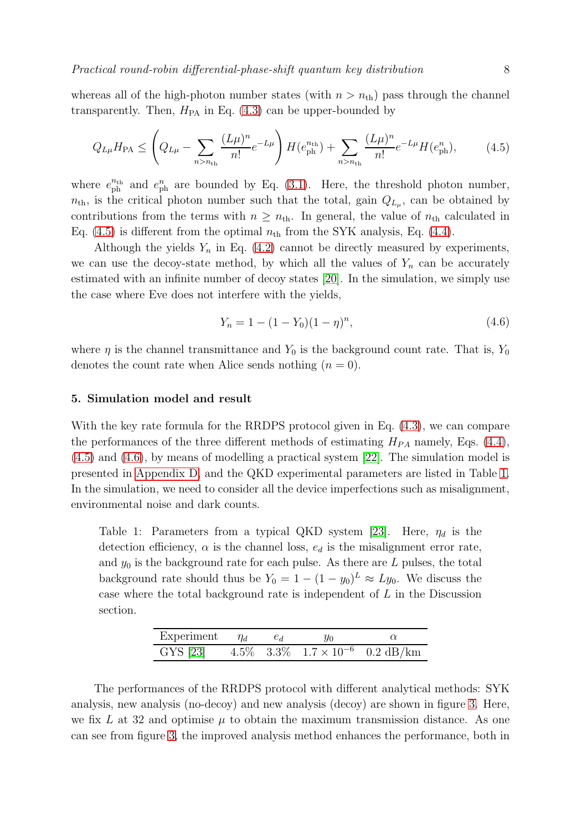whereas all of the high-photon number states (with  $n > n_{\text{th}}$ ) pass through the channel transparently. Then,  $H_{PA}$  in Eq. [\(4.3\)](#page-6-2) can be upper-bounded by

$$
Q_{L\mu}H_{\rm PA} \le \left(Q_{L\mu} - \sum_{n>n_{\rm th}} \frac{(L\mu)^n}{n!} e^{-L\mu}\right) H(e_{\rm ph}^{n_{\rm th}}) + \sum_{n>n_{\rm th}} \frac{(L\mu)^n}{n!} e^{-L\mu} H(e_{\rm ph}^n),\tag{4.5}
$$

where  $e_{ph}^{n_{th}}$  and  $e_{ph}^{n}$  are bounded by Eq. [\(3.1\)](#page-5-1). Here, the threshold photon number,  $n_{\text{th}}$ , is the critical photon number such that the total, gain  $Q_{L_{\mu}}$ , can be obtained by contributions from the terms with  $n \geq n_{\text{th}}$ . In general, the value of  $n_{\text{th}}$  calculated in Eq.  $(4.5)$  is different from the optimal  $n_{\text{th}}$  from the SYK analysis, Eq.  $(4.4)$ .

Although the yields  $Y_n$  in Eq. [\(4.2\)](#page-6-1) cannot be directly measured by experiments, we can use the decoy-state method, by which all the values of  $Y_n$  can be accurately estimated with an infinite number of decoy states [\[20\]](#page-17-3). In the simulation, we simply use the case where Eve does not interfere with the yields,

<span id="page-7-1"></span><span id="page-7-0"></span>
$$
Y_n = 1 - (1 - Y_0)(1 - \eta)^n, \tag{4.6}
$$

where  $\eta$  is the channel transmittance and  $Y_0$  is the background count rate. That is,  $Y_0$ denotes the count rate when Alice sends nothing  $(n = 0)$ .

## 5. Simulation model and result

With the key rate formula for the RRDPS protocol given in Eq. [\(4.3\)](#page-6-2), we can compare the performances of the three different methods of estimating  $H_{PA}$  namely, Eqs. [\(4.4\)](#page-6-3), [\(4.5\)](#page-7-0) and [\(4.6\)](#page-7-1), by means of modelling a practical system [\[22\]](#page-17-5). The simulation model is presented in [Appendix D,](#page-15-0) and the QKD experimental parameters are listed in Table [1.](#page-7-2) In the simulation, we need to consider all the device imperfections such as misalignment, environmental noise and dark counts.

<span id="page-7-2"></span>Table 1: Parameters from a typical QKD system [\[23\]](#page-17-6). Here,  $\eta_d$  is the detection efficiency,  $\alpha$  is the channel loss,  $e_d$  is the misalignment error rate, and  $y_0$  is the background rate for each pulse. As there are  $L$  pulses, the total background rate should thus be  $Y_0 = 1 - (1 - y_0)^L \approx Ly_0$ . We discuss the case where the total background rate is independent of L in the Discussion section.

| Experiment $\eta_d$ $e_d$ $y_0$                         |  |  |
|---------------------------------------------------------|--|--|
| GYS [23] $4.5\%$ $3.3\%$ $1.7 \times 10^{-6}$ 0.2 dB/km |  |  |

The performances of the RRDPS protocol with different analytical methods: SYK analysis, new analysis (no-decoy) and new analysis (decoy) are shown in figure [3.](#page-8-0) Here, we fix L at 32 and optimise  $\mu$  to obtain the maximum transmission distance. As one can see from figure [3,](#page-8-0) the improved analysis method enhances the performance, both in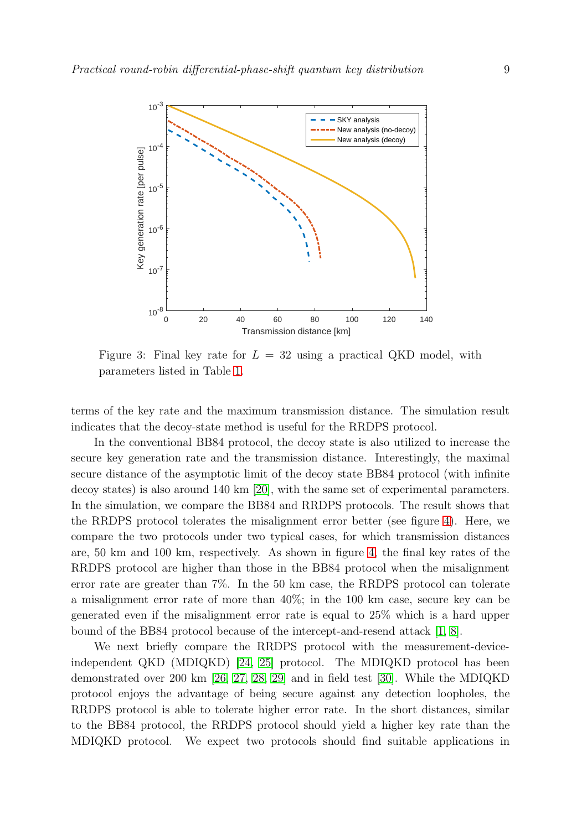<span id="page-8-0"></span>

Figure 3: Final key rate for  $L = 32$  using a practical QKD model, with parameters listed in Table [1.](#page-7-2)

terms of the key rate and the maximum transmission distance. The simulation result indicates that the decoy-state method is useful for the RRDPS protocol.

In the conventional BB84 protocol, the decoy state is also utilized to increase the secure key generation rate and the transmission distance. Interestingly, the maximal secure distance of the asymptotic limit of the decoy state BB84 protocol (with infinite decoy states) is also around 140 km [\[20\]](#page-17-3), with the same set of experimental parameters. In the simulation, we compare the BB84 and RRDPS protocols. The result shows that the RRDPS protocol tolerates the misalignment error better (see figure [4\)](#page-9-0). Here, we compare the two protocols under two typical cases, for which transmission distances are, 50 km and 100 km, respectively. As shown in figure [4,](#page-9-0) the final key rates of the RRDPS protocol are higher than those in the BB84 protocol when the misalignment error rate are greater than 7%. In the 50 km case, the RRDPS protocol can tolerate a misalignment error rate of more than 40%; in the 100 km case, secure key can be generated even if the misalignment error rate is equal to 25% which is a hard upper bound of the BB84 protocol because of the intercept-and-resend attack [\[1,](#page-16-0) [8\]](#page-16-7).

We next briefly compare the RRDPS protocol with the measurement-deviceindependent QKD (MDIQKD) [\[24,](#page-17-7) [25\]](#page-17-8) protocol. The MDIQKD protocol has been demonstrated over 200 km [\[26,](#page-17-9) [27,](#page-17-10) [28,](#page-17-11) [29\]](#page-17-12) and in field test [\[30\]](#page-17-13). While the MDIQKD protocol enjoys the advantage of being secure against any detection loopholes, the RRDPS protocol is able to tolerate higher error rate. In the short distances, similar to the BB84 protocol, the RRDPS protocol should yield a higher key rate than the MDIQKD protocol. We expect two protocols should find suitable applications in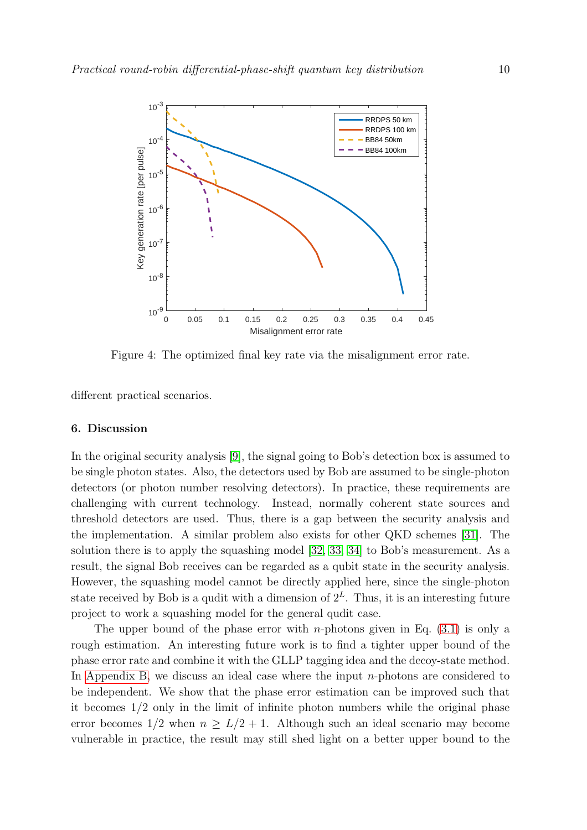<span id="page-9-0"></span>

Figure 4: The optimized final key rate via the misalignment error rate.

different practical scenarios.

## 6. Discussion

In the original security analysis [\[9\]](#page-16-8), the signal going to Bob's detection box is assumed to be single photon states. Also, the detectors used by Bob are assumed to be single-photon detectors (or photon number resolving detectors). In practice, these requirements are challenging with current technology. Instead, normally coherent state sources and threshold detectors are used. Thus, there is a gap between the security analysis and the implementation. A similar problem also exists for other QKD schemes [\[31\]](#page-17-14). The solution there is to apply the squashing model [\[32,](#page-17-15) [33,](#page-17-16) [34\]](#page-17-17) to Bob's measurement. As a result, the signal Bob receives can be regarded as a qubit state in the security analysis. However, the squashing model cannot be directly applied here, since the single-photon state received by Bob is a qudit with a dimension of  $2^L$ . Thus, it is an interesting future project to work a squashing model for the general qudit case.

The upper bound of the phase error with *n*-photons given in Eq.  $(3.1)$  is only a rough estimation. An interesting future work is to find a tighter upper bound of the phase error rate and combine it with the GLLP tagging idea and the decoy-state method. In [Appendix B,](#page-11-0) we discuss an ideal case where the input  $n$ -photons are considered to be independent. We show that the phase error estimation can be improved such that it becomes 1/2 only in the limit of infinite photon numbers while the original phase error becomes  $1/2$  when  $n \geq L/2 + 1$ . Although such an ideal scenario may become vulnerable in practice, the result may still shed light on a better upper bound to the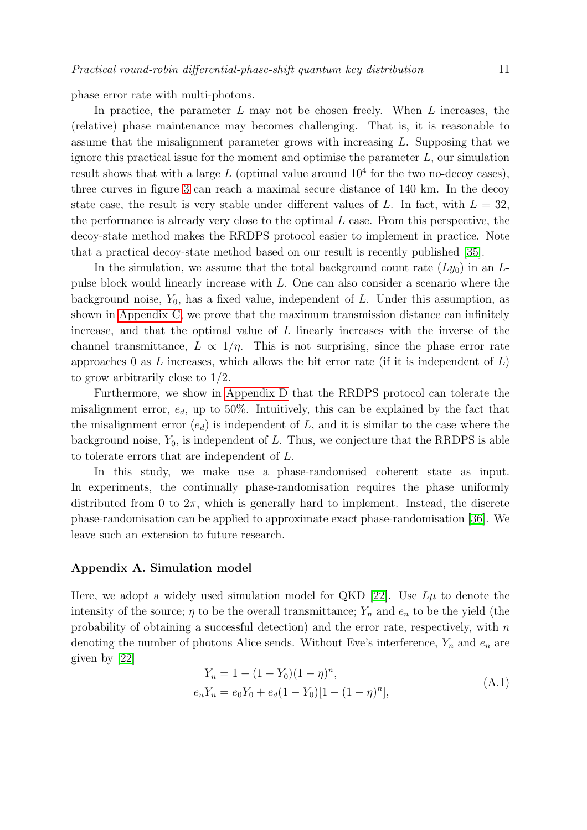phase error rate with multi-photons.

In practice, the parameter  $L$  may not be chosen freely. When  $L$  increases, the (relative) phase maintenance may becomes challenging. That is, it is reasonable to assume that the misalignment parameter grows with increasing L. Supposing that we ignore this practical issue for the moment and optimise the parameter  $L$ , our simulation result shows that with a large  $L$  (optimal value around  $10^4$  for the two no-decoy cases), three curves in figure [3](#page-8-0) can reach a maximal secure distance of 140 km. In the decoy state case, the result is very stable under different values of L. In fact, with  $L = 32$ , the performance is already very close to the optimal  $L$  case. From this perspective, the decoy-state method makes the RRDPS protocol easier to implement in practice. Note that a practical decoy-state method based on our result is recently published [\[35\]](#page-17-18).

In the simulation, we assume that the total background count rate  $(Ly_0)$  in an Lpulse block would linearly increase with L. One can also consider a scenario where the background noise,  $Y_0$ , has a fixed value, independent of L. Under this assumption, as shown in [Appendix C,](#page-13-0) we prove that the maximum transmission distance can infinitely increase, and that the optimal value of  $L$  linearly increases with the inverse of the channel transmittance,  $L \propto 1/\eta$ . This is not surprising, since the phase error rate approaches 0 as L increases, which allows the bit error rate (if it is independent of  $L$ ) to grow arbitrarily close to 1/2.

Furthermore, we show in [Appendix D](#page-15-0) that the RRDPS protocol can tolerate the misalignment error,  $e_d$ , up to 50%. Intuitively, this can be explained by the fact that the misalignment error  $(e_d)$  is independent of L, and it is similar to the case where the background noise,  $Y_0$ , is independent of L. Thus, we conjecture that the RRDPS is able to tolerate errors that are independent of L.

In this study, we make use a phase-randomised coherent state as input. In experiments, the continually phase-randomisation requires the phase uniformly distributed from 0 to  $2\pi$ , which is generally hard to implement. Instead, the discrete phase-randomisation can be applied to approximate exact phase-randomisation [\[36\]](#page-17-19). We leave such an extension to future research.

## Appendix A. Simulation model

Here, we adopt a widely used simulation model for QKD [\[22\]](#page-17-5). Use  $L\mu$  to denote the intensity of the source;  $\eta$  to be the overall transmittance;  $Y_n$  and  $e_n$  to be the yield (the probability of obtaining a successful detection) and the error rate, respectively, with  $n$ denoting the number of photons Alice sends. Without Eve's interference,  $Y_n$  and  $e_n$  are given by [\[22\]](#page-17-5)

$$
Y_n = 1 - (1 - Y_0)(1 - \eta)^n,
$$
  
\n
$$
e_n Y_n = e_0 Y_0 + e_d (1 - Y_0)[1 - (1 - \eta)^n],
$$
\n(A.1)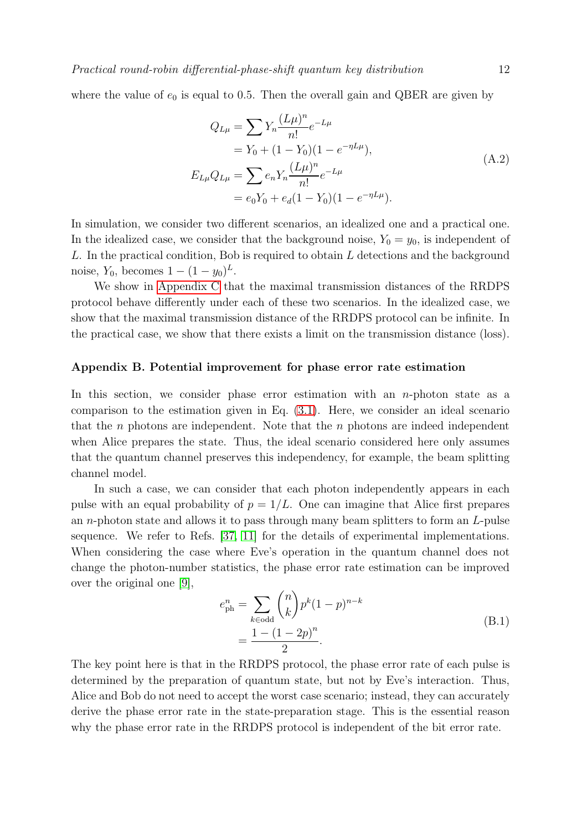where the value of  $e_0$  is equal to 0.5. Then the overall gain and QBER are given by

<span id="page-11-2"></span>
$$
Q_{L\mu} = \sum Y_n \frac{(L\mu)^n}{n!} e^{-L\mu}
$$
  
=  $Y_0 + (1 - Y_0)(1 - e^{-\eta L\mu}),$   
 $E_{L\mu} Q_{L\mu} = \sum e_n Y_n \frac{(L\mu)^n}{n!} e^{-L\mu}$   
=  $e_0 Y_0 + e_d (1 - Y_0)(1 - e^{-\eta L\mu}).$  (A.2)

In simulation, we consider two different scenarios, an idealized one and a practical one. In the idealized case, we consider that the background noise,  $Y_0 = y_0$ , is independent of L. In the practical condition, Bob is required to obtain L detections and the background noise,  $Y_0$ , becomes  $1 - (1 - y_0)^L$ .

We show in [Appendix C](#page-13-0) that the maximal transmission distances of the RRDPS protocol behave differently under each of these two scenarios. In the idealized case, we show that the maximal transmission distance of the RRDPS protocol can be infinite. In the practical case, we show that there exists a limit on the transmission distance (loss).

#### <span id="page-11-0"></span>Appendix B. Potential improvement for phase error rate estimation

In this section, we consider phase error estimation with an  $n$ -photon state as a comparison to the estimation given in Eq. [\(3.1\)](#page-5-1). Here, we consider an ideal scenario that the n photons are independent. Note that the  $n$  photons are indeed independent when Alice prepares the state. Thus, the ideal scenario considered here only assumes that the quantum channel preserves this independency, for example, the beam splitting channel model.

In such a case, we can consider that each photon independently appears in each pulse with an equal probability of  $p = 1/L$ . One can imagine that Alice first prepares an n-photon state and allows it to pass through many beam splitters to form an L-pulse sequence. We refer to Refs. [\[37,](#page-17-20) [11\]](#page-16-10) for the details of experimental implementations. When considering the case where Eve's operation in the quantum channel does not change the photon-number statistics, the phase error rate estimation can be improved over the original one [\[9\]](#page-16-8),

<span id="page-11-1"></span>
$$
e_{\rm ph}^{n} = \sum_{k \in \text{odd}} {n \choose k} p^{k} (1-p)^{n-k}
$$
  
= 
$$
\frac{1 - (1 - 2p)^{n}}{2}.
$$
 (B.1)

The key point here is that in the RRDPS protocol, the phase error rate of each pulse is determined by the preparation of quantum state, but not by Eve's interaction. Thus, Alice and Bob do not need to accept the worst case scenario; instead, they can accurately derive the phase error rate in the state-preparation stage. This is the essential reason why the phase error rate in the RRDPS protocol is independent of the bit error rate.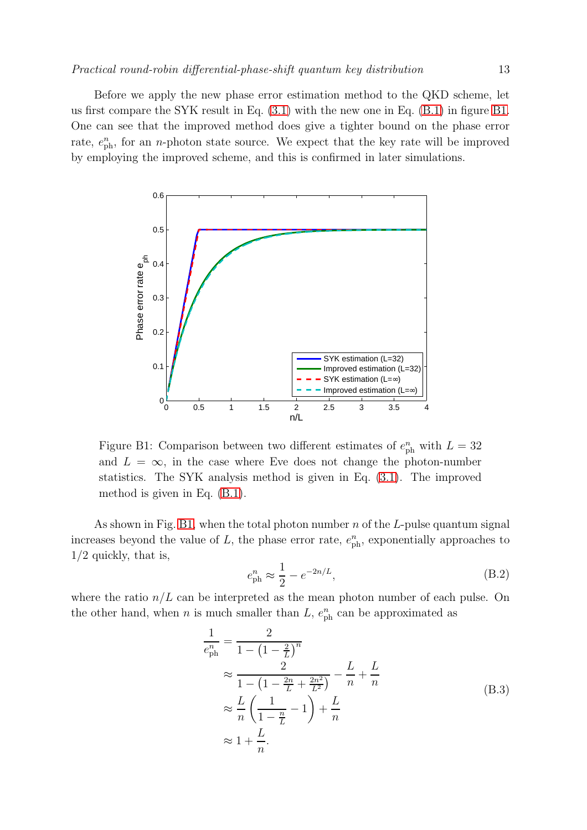Before we apply the new phase error estimation method to the QKD scheme, let us first compare the SYK result in Eq. [\(3.1\)](#page-5-1) with the new one in Eq. [\(B.1\)](#page-11-1) in figure [B1.](#page-12-0) One can see that the improved method does give a tighter bound on the phase error rate,  $e_{\rm ph}^n$ , for an *n*-photon state source. We expect that the key rate will be improved by employing the improved scheme, and this is confirmed in later simulations.

<span id="page-12-0"></span>

Figure B1: Comparison between two different estimates of  $e_{\text{ph}}^n$  with  $L = 32$ and  $L = \infty$ , in the case where Eve does not change the photon-number statistics. The SYK analysis method is given in Eq. [\(3.1\)](#page-5-1). The improved method is given in Eq. [\(B.1\)](#page-11-1).

As shown in Fig. [B1,](#page-12-0) when the total photon number  $n$  of the L-pulse quantum signal increases beyond the value of L, the phase error rate,  $e_{\text{ph}}^n$ , exponentially approaches to 1/2 quickly, that is,

<span id="page-12-1"></span>
$$
e_{\rm ph}^{n} \approx \frac{1}{2} - e^{-2n/L},
$$
 (B.2)

where the ratio  $n/L$  can be interpreted as the mean photon number of each pulse. On the other hand, when *n* is much smaller than  $L$ ,  $e_{\text{ph}}^n$  can be approximated as

$$
\frac{1}{e_{\rm ph}^{n}} = \frac{2}{1 - \left(1 - \frac{2}{L}\right)^{n}}
$$
\n
$$
\approx \frac{2}{1 - \left(1 - \frac{2n}{L} + \frac{2n^{2}}{L^{2}}\right)} - \frac{L}{n} + \frac{L}{n}
$$
\n
$$
\approx \frac{L}{n} \left(\frac{1}{1 - \frac{n}{L}} - 1\right) + \frac{L}{n}
$$
\n
$$
\approx 1 + \frac{L}{n}.
$$
\n(B.3)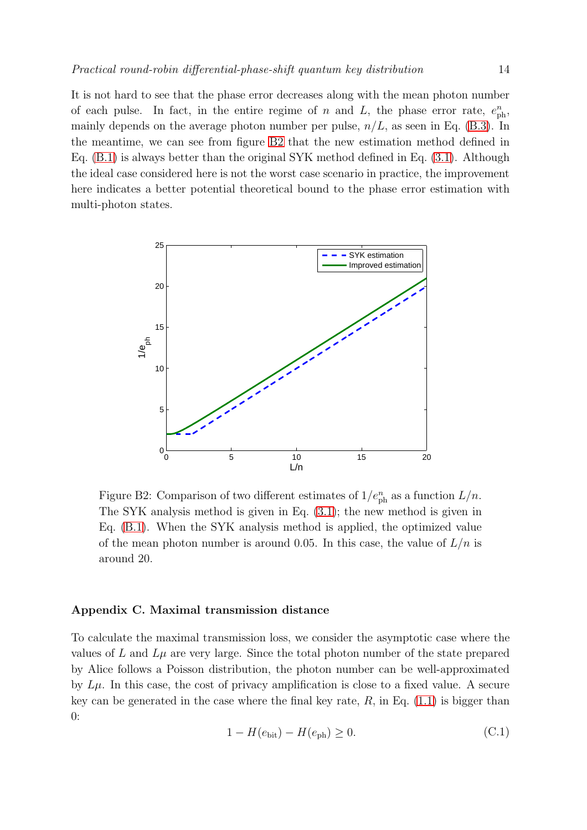It is not hard to see that the phase error decreases along with the mean photon number of each pulse. In fact, in the entire regime of n and L, the phase error rate,  $e_{\text{ph}}^n$ , mainly depends on the average photon number per pulse,  $n/L$ , as seen in Eq. [\(B.3\)](#page-12-1). In the meantime, we can see from figure [B2](#page-13-1) that the new estimation method defined in Eq. [\(B.1\)](#page-11-1) is always better than the original SYK method defined in Eq. [\(3.1\)](#page-5-1). Although the ideal case considered here is not the worst case scenario in practice, the improvement here indicates a better potential theoretical bound to the phase error estimation with multi-photon states.

<span id="page-13-1"></span>

Figure B2: Comparison of two different estimates of  $1/e_{ph}^{n}$  as a function  $L/n$ . The SYK analysis method is given in Eq. [\(3.1\)](#page-5-1); the new method is given in Eq. [\(B.1\)](#page-11-1). When the SYK analysis method is applied, the optimized value of the mean photon number is around 0.05. In this case, the value of  $L/n$  is around 20.

# <span id="page-13-0"></span>Appendix C. Maximal transmission distance

<span id="page-13-2"></span>To calculate the maximal transmission loss, we consider the asymptotic case where the values of L and  $L\mu$  are very large. Since the total photon number of the state prepared by Alice follows a Poisson distribution, the photon number can be well-approximated by  $L\mu$ . In this case, the cost of privacy amplification is close to a fixed value. A secure key can be generated in the case where the final key rate,  $R$ , in Eq. [\(1.1\)](#page-1-0) is bigger than 0:

$$
1 - H(e_{\text{bit}}) - H(e_{\text{ph}}) \ge 0.
$$
 (C.1)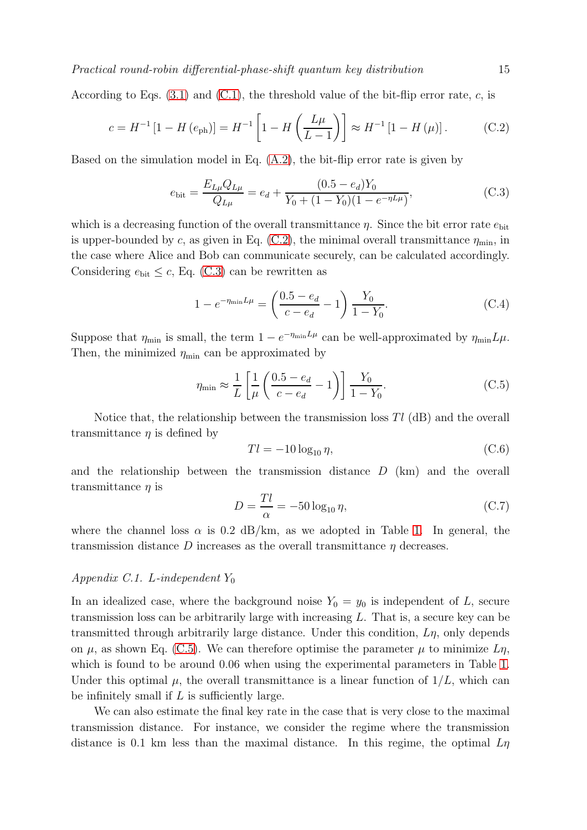Practical round-robin differential-phase-shift quantum key distribution 15

According to Eqs.  $(3.1)$  and  $(C.1)$ , the threshold value of the bit-flip error rate, c, is

$$
c = H^{-1} [1 - H (e_{\text{ph}})] = H^{-1} \left[ 1 - H \left( \frac{L\mu}{L - 1} \right) \right] \approx H^{-1} [1 - H (\mu)]. \tag{C.2}
$$

Based on the simulation model in Eq. [\(A.2\)](#page-11-2), the bit-flip error rate is given by

<span id="page-14-1"></span><span id="page-14-0"></span>
$$
e_{\text{bit}} = \frac{E_{L\mu} Q_{L\mu}}{Q_{L\mu}} = e_d + \frac{(0.5 - e_d) Y_0}{Y_0 + (1 - Y_0)(1 - e^{-\eta L\mu})},
$$
(C.3)

which is a decreasing function of the overall transmittance  $\eta$ . Since the bit error rate  $e_{\text{bit}}$ is upper-bounded by c, as given in Eq. [\(C.2\)](#page-14-0), the minimal overall transmittance  $\eta_{\text{min}}$ , in the case where Alice and Bob can communicate securely, can be calculated accordingly. Considering  $e_{\text{bit}} \leq c$ , Eq. [\(C.3\)](#page-14-1) can be rewritten as

$$
1 - e^{-\eta_{\min} L \mu} = \left(\frac{0.5 - e_d}{c - e_d} - 1\right) \frac{Y_0}{1 - Y_0}.
$$
 (C.4)

Suppose that  $\eta_{\min}$  is small, the term  $1 - e^{-\eta_{\min}L\mu}$  can be well-approximated by  $\eta_{\min}L\mu$ . Then, the minimized  $\eta_{\text{min}}$  can be approximated by

$$
\eta_{\min} \approx \frac{1}{L} \left[ \frac{1}{\mu} \left( \frac{0.5 - e_d}{c - e_d} - 1 \right) \right] \frac{Y_0}{1 - Y_0}.
$$
 (C.5)

Notice that, the relationship between the transmission loss  $T_l$  (dB) and the overall transmittance  $\eta$  is defined by

<span id="page-14-2"></span>
$$
Tl = -10\log_{10}\eta,\tag{C.6}
$$

and the relationship between the transmission distance  $D$  (km) and the overall transmittance  $\eta$  is

$$
D = \frac{Tl}{\alpha} = -50 \log_{10} \eta,\tag{C.7}
$$

where the channel loss  $\alpha$  is 0.2 dB/km, as we adopted in Table [1.](#page-7-2) In general, the transmission distance D increases as the overall transmittance  $\eta$  decreases.

## Appendix C.1. L-independent  $Y_0$

In an idealized case, where the background noise  $Y_0 = y_0$  is independent of L, secure transmission loss can be arbitrarily large with increasing L. That is, a secure key can be transmitted through arbitrarily large distance. Under this condition,  $L\eta$ , only depends on  $\mu$ , as shown Eq. [\(C.5\)](#page-14-2). We can therefore optimise the parameter  $\mu$  to minimize  $L\eta$ , which is found to be around 0.06 when using the experimental parameters in Table [1.](#page-7-2) Under this optimal  $\mu$ , the overall transmittance is a linear function of  $1/L$ , which can be infinitely small if  $L$  is sufficiently large.

We can also estimate the final key rate in the case that is very close to the maximal transmission distance. For instance, we consider the regime where the transmission distance is 0.1 km less than the maximal distance. In this regime, the optimal  $L_{\eta}$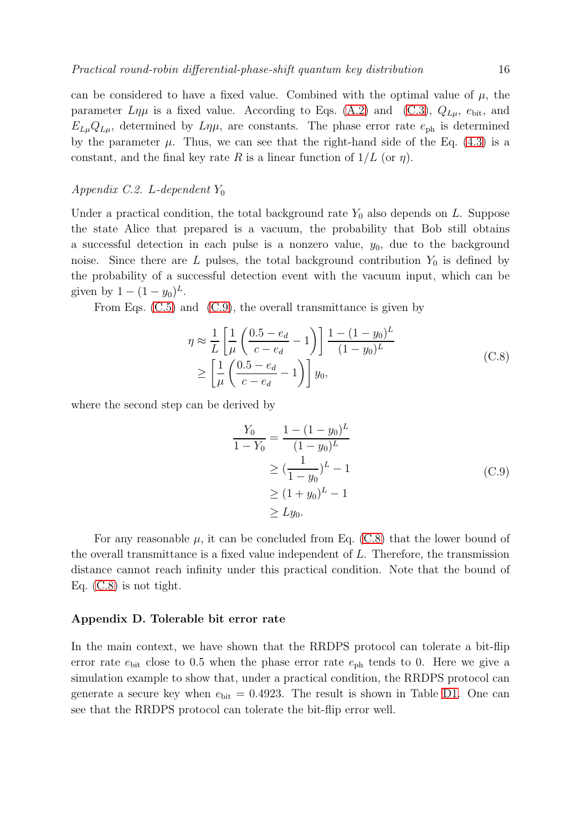can be considered to have a fixed value. Combined with the optimal value of  $\mu$ , the parameter  $L\eta\mu$  is a fixed value. According to Eqs. [\(A.2\)](#page-11-2) and [\(C.3\)](#page-14-1),  $Q_{L\mu}$ ,  $e_{\text{bit}}$ , and  $E_{\mu\nu}Q_{\mu\nu}$ , determined by  $L\eta\mu$ , are constants. The phase error rate  $e_{\rm ph}$  is determined by the parameter  $\mu$ . Thus, we can see that the right-hand side of the Eq. [\(4.3\)](#page-6-2) is a constant, and the final key rate R is a linear function of  $1/L$  (or  $\eta$ ).

# Appendix C.2. L-dependent  $Y_0$

Under a practical condition, the total background rate  $Y_0$  also depends on L. Suppose the state Alice that prepared is a vacuum, the probability that Bob still obtains a successful detection in each pulse is a nonzero value,  $y_0$ , due to the background noise. Since there are L pulses, the total background contribution  $Y_0$  is defined by the probability of a successful detection event with the vacuum input, which can be given by  $1 - (1 - y_0)^L$ .

From Eqs.  $(C.5)$  and  $(C.9)$ , the overall transmittance is given by

$$
\eta \approx \frac{1}{L} \left[ \frac{1}{\mu} \left( \frac{0.5 - e_d}{c - e_d} - 1 \right) \right] \frac{1 - (1 - y_0)^L}{(1 - y_0)^L} \n\ge \left[ \frac{1}{\mu} \left( \frac{0.5 - e_d}{c - e_d} - 1 \right) \right] y_0,
$$
\n(C.8)

where the second step can be derived by

<span id="page-15-2"></span><span id="page-15-1"></span>
$$
\frac{Y_0}{1 - Y_0} = \frac{1 - (1 - y_0)^L}{(1 - y_0)^L}
$$
  
\n
$$
\geq \left(\frac{1}{1 - y_0}\right)^L - 1
$$
  
\n
$$
\geq (1 + y_0)^L - 1
$$
  
\n
$$
\geq Ly_0.
$$
 (C.9)

For any reasonable  $\mu$ , it can be concluded from Eq. [\(C.8\)](#page-15-2) that the lower bound of the overall transmittance is a fixed value independent of L. Therefore, the transmission distance cannot reach infinity under this practical condition. Note that the bound of Eq. [\(C.8\)](#page-15-2) is not tight.

## <span id="page-15-0"></span>Appendix D. Tolerable bit error rate

In the main context, we have shown that the RRDPS protocol can tolerate a bit-flip error rate  $e_{\text{bit}}$  close to 0.5 when the phase error rate  $e_{\text{ph}}$  tends to 0. Here we give a simulation example to show that, under a practical condition, the RRDPS protocol can generate a secure key when  $e_{\text{bit}} = 0.4923$ . The result is shown in Table [D1.](#page-16-16) One can see that the RRDPS protocol can tolerate the bit-flip error well.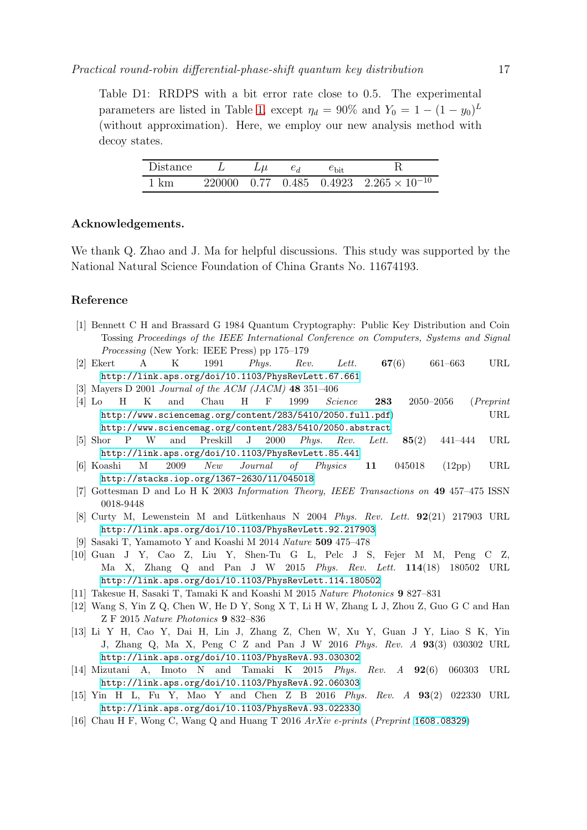<span id="page-16-16"></span>Table D1: RRDPS with a bit error rate close to 0.5. The experimental parameters are listed in Table [1,](#page-7-2) except  $\eta_d = 90\%$  and  $Y_0 = 1 - (1 - y_0)^L$ (without approximation). Here, we employ our new analysis method with decoy states.

| Distance |  | $e_d$ | $e_{\rm bit}$ |                                                  |
|----------|--|-------|---------------|--------------------------------------------------|
| - 1 km   |  |       |               | 220000 0.77 0.485 0.4923 $2.265 \times 10^{-10}$ |

## Acknowledgements.

We thank Q. Zhao and J. Ma for helpful discussions. This study was supported by the National Natural Science Foundation of China Grants No. 11674193.

# <span id="page-16-0"></span>Reference

- [1] Bennett C H and Brassard G 1984 Quantum Cryptography: Public Key Distribution and Coin Tossing Proceedings of the IEEE International Conference on Computers, Systems and Signal Processing (New York: IEEE Press) pp 175–179
- <span id="page-16-2"></span><span id="page-16-1"></span>[2] Ekert A K 1991 *Phys. Rev. Lett.*  $67(6)$   $661-663$  URL <http://link.aps.org/doi/10.1103/PhysRevLett.67.661>
- <span id="page-16-3"></span>[3] Mayers D 2001 Journal of the ACM (JACM) 48 351–406
- [4] Lo H K and Chau H F 1999 Science 283 2050–2056 (Preprint <http://www.sciencemag.org/content/283/5410/2050.full.pdf>) URL <http://www.sciencemag.org/content/283/5410/2050.abstract>
- <span id="page-16-4"></span>[5] Shor P W and Preskill J 2000 Phys. Rev. Lett. 85(2) 441–444 URL <http://link.aps.org/doi/10.1103/PhysRevLett.85.441>
- <span id="page-16-5"></span>[6] Koashi M 2009 New Journal of Physics 11 045018 (12pp) URL <http://stacks.iop.org/1367-2630/11/045018>
- <span id="page-16-7"></span><span id="page-16-6"></span>[7] Gottesman D and Lo H K 2003 Information Theory, IEEE Transactions on 49 457–475 ISSN 0018-9448
- <span id="page-16-8"></span>[8] Curty M, Lewenstein M and Lütkenhaus N  $2004$  Phys. Rev. Lett.  $92(21)$  217903 URL <http://link.aps.org/doi/10.1103/PhysRevLett.92.217903>
- <span id="page-16-9"></span>[9] Sasaki T, Yamamoto Y and Koashi M 2014 Nature 509 475–478
- [10] Guan J Y, Cao Z, Liu Y, Shen-Tu G L, Pelc J S, Fejer M M, Peng C Z, Ma X, Zhang Q and Pan J W 2015 Phys. Rev. Lett. 114(18) 180502 URL <http://link.aps.org/doi/10.1103/PhysRevLett.114.180502>
- <span id="page-16-11"></span><span id="page-16-10"></span>[11] Takesue H, Sasaki T, Tamaki K and Koashi M 2015 Nature Photonics 9 827–831
- <span id="page-16-12"></span>[12] Wang S, Yin Z Q, Chen W, He D Y, Song X T, Li H W, Zhang L J, Zhou Z, Guo G C and Han Z F 2015 Nature Photonics 9 832–836
- [13] Li Y H, Cao Y, Dai H, Lin J, Zhang Z, Chen W, Xu Y, Guan J Y, Liao S K, Yin J, Zhang Q, Ma X, Peng C Z and Pan J W 2016 Phys. Rev. A 93(3) 030302 URL <http://link.aps.org/doi/10.1103/PhysRevA.93.030302>
- <span id="page-16-13"></span>[14] Mizutani A, Imoto N and Tamaki K 2015 Phys. Rev. A 92(6) 060303 URL <http://link.aps.org/doi/10.1103/PhysRevA.92.060303>
- <span id="page-16-14"></span>[15] Yin H L, Fu Y, Mao Y and Chen Z B 2016 Phys. Rev. A 93(2) 022330 URL <http://link.aps.org/doi/10.1103/PhysRevA.93.022330>
- <span id="page-16-15"></span>[16] Chau H F, Wong C, Wang Q and Huang T 2016 ArXiv e-prints (Preprint <1608.08329>)